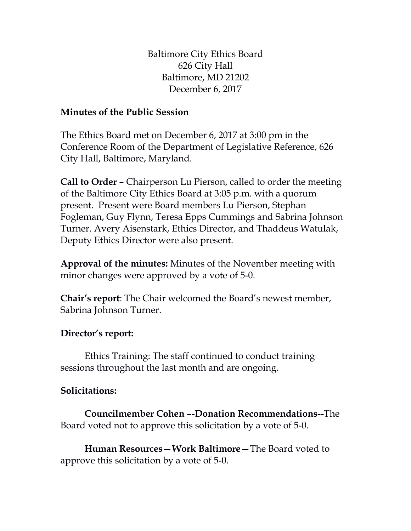Baltimore City Ethics Board 626 City Hall Baltimore, MD 21202 December 6, 2017

## **Minutes of the Public Session**

The Ethics Board met on December 6, 2017 at 3:00 pm in the Conference Room of the Department of Legislative Reference, 626 City Hall, Baltimore, Maryland.

**Call to Order –** Chairperson Lu Pierson, called to order the meeting of the Baltimore City Ethics Board at 3:05 p.m. with a quorum present. Present were Board members Lu Pierson, Stephan Fogleman, Guy Flynn, Teresa Epps Cummings and Sabrina Johnson Turner. Avery Aisenstark, Ethics Director, and Thaddeus Watulak, Deputy Ethics Director were also present.

**Approval of the minutes:** Minutes of the November meeting with minor changes were approved by a vote of 5-0.

**Chair's report**: The Chair welcomed the Board's newest member, Sabrina Johnson Turner.

## **Director's report:**

Ethics Training: The staff continued to conduct training sessions throughout the last month and are ongoing.

## **Solicitations:**

**Councilmember Cohen –-Donation Recommendations--**The Board voted not to approve this solicitation by a vote of 5-0.

**Human Resources—Work Baltimore—**The Board voted to approve this solicitation by a vote of 5-0.